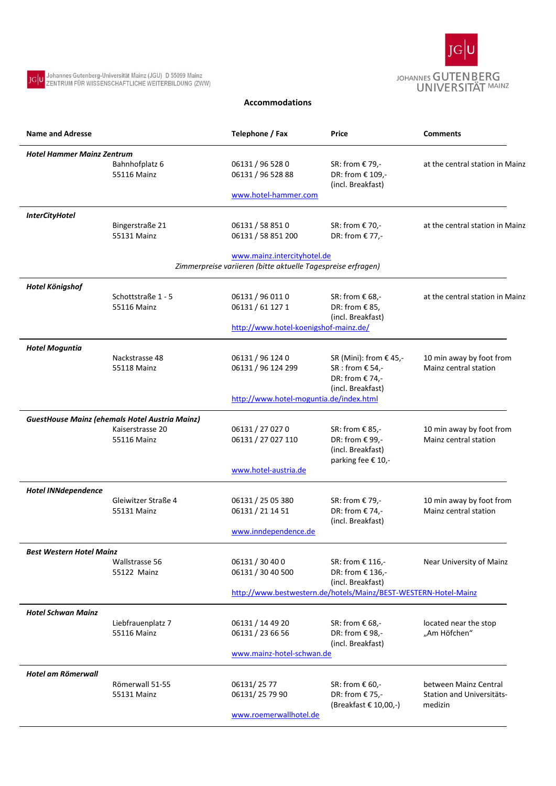

## **Accommodations**

JG U Johannes Gutenberg-Universität Mainz (JGU) D 55099 Mainz<br>ZENTRUM FÜR WISSENSCHAFTLICHE WEITERBILDUNG (ZWW)

| <b>Name and Adresse</b>           |                                                       | Telephone / Fax                                                                             | Price                                                                         | <b>Comments</b>                                   |  |  |
|-----------------------------------|-------------------------------------------------------|---------------------------------------------------------------------------------------------|-------------------------------------------------------------------------------|---------------------------------------------------|--|--|
| <b>Hotel Hammer Mainz Zentrum</b> |                                                       |                                                                                             |                                                                               |                                                   |  |  |
|                                   | Bahnhofplatz 6<br>55116 Mainz                         | 06131 / 96 528 0<br>06131 / 96 528 88                                                       | SR: from € 79,-<br>DR: from € 109,-<br>(incl. Breakfast)                      | at the central station in Mainz                   |  |  |
|                                   |                                                       | www.hotel-hammer.com                                                                        |                                                                               |                                                   |  |  |
| <b>InterCityHotel</b>             |                                                       |                                                                                             |                                                                               |                                                   |  |  |
|                                   | Bingerstraße 21<br>55131 Mainz                        | 06131 / 58 851 0<br>06131 / 58 851 200                                                      | SR: from € 70,-<br>DR: from € 77,-                                            | at the central station in Mainz                   |  |  |
|                                   |                                                       | www.mainz.intercityhotel.de<br>Zimmerpreise variieren (bitte aktuelle Tagespreise erfragen) |                                                                               |                                                   |  |  |
| Hotel Königshof                   |                                                       |                                                                                             |                                                                               |                                                   |  |  |
|                                   | Schottstraße 1 - 5                                    | 06131 / 96 011 0                                                                            | SR: from € 68,-                                                               | at the central station in Mainz                   |  |  |
|                                   | 55116 Mainz                                           | 06131 / 61 127 1                                                                            | DR: from €85,<br>(incl. Breakfast)                                            |                                                   |  |  |
|                                   |                                                       |                                                                                             | http://www.hotel-koenigshof-mainz.de/                                         |                                                   |  |  |
| <b>Hotel Moguntia</b>             |                                                       | 06131 / 96 124 0                                                                            |                                                                               |                                                   |  |  |
|                                   | Nackstrasse 48<br>55118 Mainz                         | 06131 / 96 124 299                                                                          | SR (Mini): from $\epsilon$ 45,-<br>SR : from $E$ 54,-<br>DR: from € 74,-      | 10 min away by foot from<br>Mainz central station |  |  |
|                                   |                                                       | http://www.hotel-moguntia.de/index.html                                                     | (incl. Breakfast)                                                             |                                                   |  |  |
|                                   | <b>GuestHouse Mainz (ehemals Hotel Austria Mainz)</b> |                                                                                             |                                                                               |                                                   |  |  |
|                                   | Kaiserstrasse 20<br>55116 Mainz                       | 06131 / 27 027 0<br>06131 / 27 027 110                                                      | SR: from € 85,-<br>DR: from € 99,-<br>(incl. Breakfast)<br>parking fee € 10,- | 10 min away by foot from<br>Mainz central station |  |  |
|                                   |                                                       | www.hotel-austria.de                                                                        |                                                                               |                                                   |  |  |
| <b>Hotel INNdependence</b>        |                                                       |                                                                                             |                                                                               |                                                   |  |  |
|                                   | Gleiwitzer Straße 4<br>55131 Mainz                    | 06131 / 25 05 380<br>06131 / 21 14 51                                                       | SR: from € 79,-<br>DR: from € 74,-<br>(incl. Breakfast)                       | 10 min away by foot from<br>Mainz central station |  |  |
|                                   |                                                       | www.inndependence.de                                                                        |                                                                               |                                                   |  |  |
| Best Western Hotel Mainz          |                                                       |                                                                                             |                                                                               |                                                   |  |  |
|                                   | Wallstrasse 56<br>55122 Mainz                         | 06131 / 30 40 0<br>06131 / 30 40 500                                                        | SR: from € 116,-<br>DR: from € 136,-<br>(incl. Breakfast)                     | Near University of Mainz                          |  |  |
|                                   |                                                       | http://www.bestwestern.de/hotels/Mainz/BEST-WESTERN-Hotel-Mainz                             |                                                                               |                                                   |  |  |
| <b>Hotel Schwan Mainz</b>         |                                                       |                                                                                             |                                                                               |                                                   |  |  |
|                                   | Liebfrauenplatz 7                                     | 06131 / 14 49 20                                                                            | SR: from $\epsilon$ 68,-                                                      | located near the stop                             |  |  |
|                                   | 55116 Mainz                                           | 06131 / 23 66 56<br>www.mainz-hotel-schwan.de                                               | DR: from €98,-<br>(incl. Breakfast)                                           | "Am Höfchen"                                      |  |  |
|                                   |                                                       |                                                                                             |                                                                               |                                                   |  |  |
| Hotel am Römerwall                | Römerwall 51-55                                       | 06131/25 77                                                                                 | SR: from € 60,-                                                               | between Mainz Central                             |  |  |
|                                   | 55131 Mainz                                           | 06131/25 79 90                                                                              | DR: from € 75,-<br>(Breakfast € 10,00,-)                                      | <b>Station and Universitäts-</b><br>medizin       |  |  |
|                                   |                                                       | www.roemerwallhotel.de                                                                      |                                                                               |                                                   |  |  |